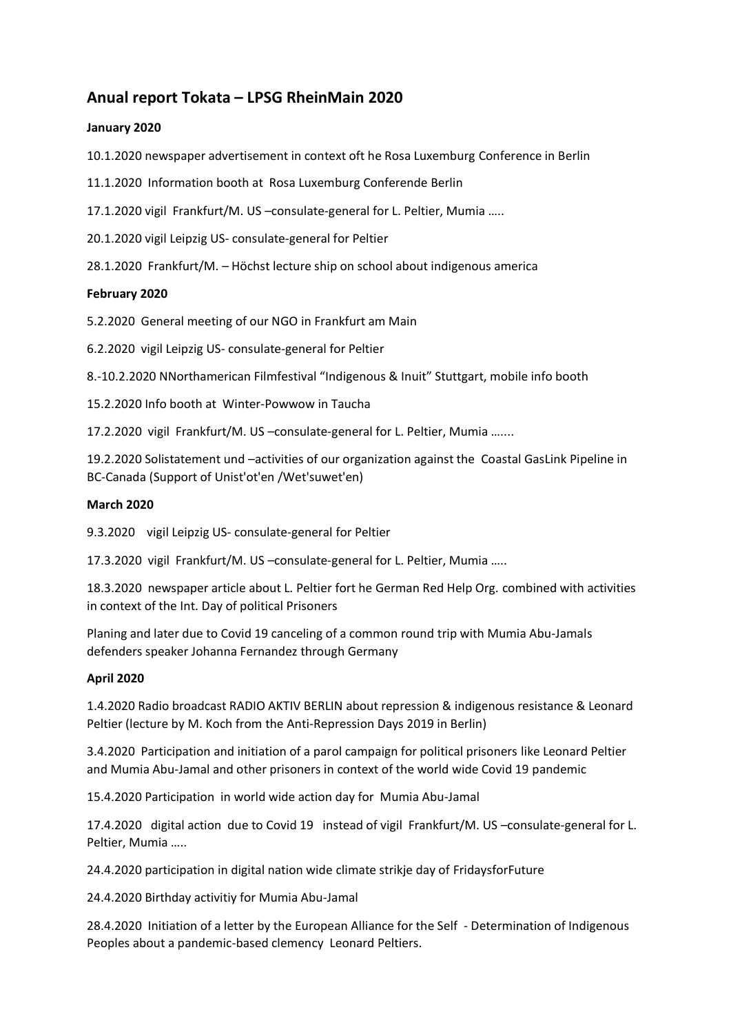# **Anual report Tokata – LPSG RheinMain 2020**

## **January 2020**

10.1.2020 newspaper advertisement in context oft he Rosa Luxemburg Conference in Berlin

11.1.2020 Information booth at Rosa Luxemburg Conferende Berlin

17.1.2020 vigil Frankfurt/M. US –consulate-general for L. Peltier, Mumia …..

20.1.2020 vigil Leipzig US- consulate-general for Peltier

28.1.2020 Frankfurt/M. – Höchst lecture ship on school about indigenous america

## **February 2020**

5.2.2020 General meeting of our NGO in Frankfurt am Main

6.2.2020vigil Leipzig US- consulate-general for Peltier

8.-10.2.2020 NNorthamerican Filmfestival "Indigenous & Inuit" Stuttgart, mobile info booth

15.2.2020 Info booth at Winter-Powwow in Taucha

17.2.2020 vigil Frankfurt/M. US –consulate-general for L. Peltier, Mumia …....

19.2.2020 Solistatement und –activities of our organization against the Coastal GasLink Pipeline in BC-Canada (Support of Unist'ot'en /Wet'suwet'en)

## **March 2020**

9.3.2020vigil Leipzig US- consulate-general for Peltier

17.3.2020 vigil Frankfurt/M. US –consulate-general for L. Peltier, Mumia …..

18.3.2020 newspaper article about L. Peltier fort he German Red Help Org. combined with activities in context of the Int. Day of political Prisoners

Planing and later due to Covid 19 canceling of a common round trip with Mumia Abu-Jamals defenders speaker Johanna Fernandez through Germany

## **April 2020**

1.4.2020 Radio broadcast RADIO AKTIV BERLIN about repression & indigenous resistance & Leonard Peltier (lecture by M. Koch from the Anti-Repression Days 2019 in Berlin)

3.4.2020 Participation and initiation of a parol campaign for political prisoners like Leonard Peltier and Mumia Abu-Jamal and other prisoners in context of the world wide Covid 19 pandemic

15.4.2020 Participation in world wide action day for Mumia Abu-Jamal

17.4.2020 digital action due to Covid 19 instead of vigil Frankfurt/M. US –consulate-general for L. Peltier, Mumia …..

24.4.2020 participation in digital nation wide climate strikje day of FridaysforFuture

24.4.2020 Birthday activitiy for Mumia Abu-Jamal

28.4.2020 Initiation of a letter by the European Alliance for the Self - Determination of Indigenous Peoples about a pandemic-based clemency Leonard Peltiers.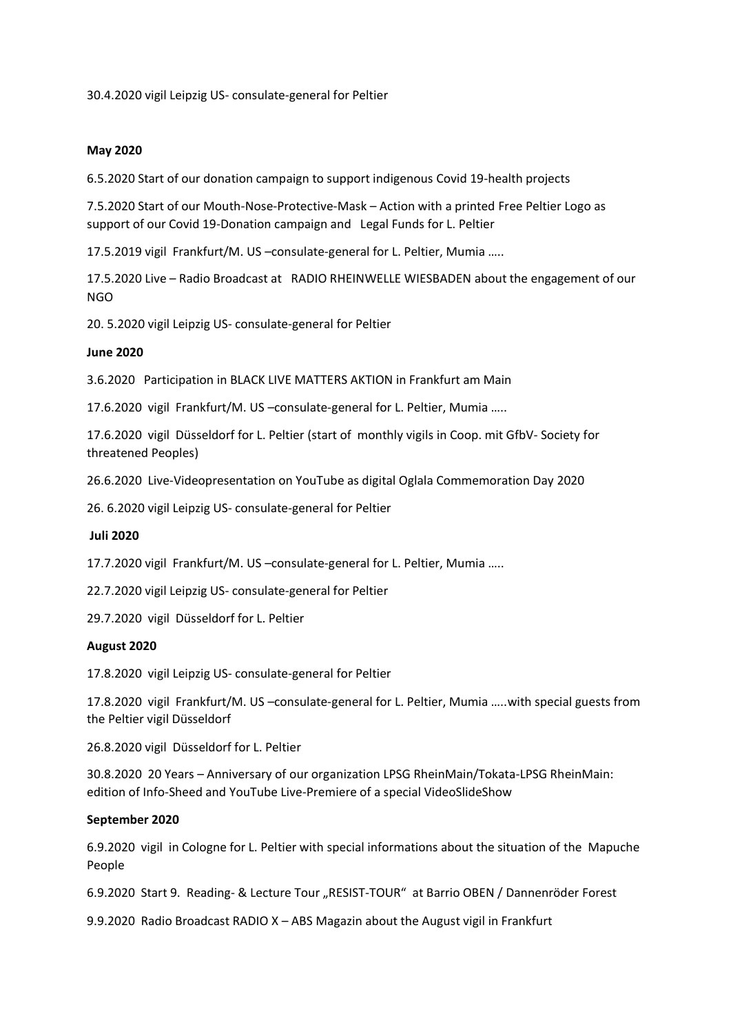30.4.2020 vigil Leipzig US- consulate-general for Peltier

#### **May 2020**

6.5.2020 Start of our donation campaign to support indigenous Covid 19-health projects

7.5.2020 Start of our Mouth-Nose-Protective-Mask – Action with a printed Free Peltier Logo as support of our Covid 19-Donation campaign and Legal Funds for L. Peltier

17.5.2019 vigil Frankfurt/M. US –consulate-general for L. Peltier, Mumia …..

17.5.2020 Live – Radio Broadcast at RADIO RHEINWELLE WIESBADEN about the engagement of our NGO

20. 5.2020 vigil Leipzig US- consulate-general for Peltier

#### **June 2020**

3.6.2020 Participation in BLACK LIVE MATTERS AKTION in Frankfurt am Main

17.6.2020 vigil Frankfurt/M. US –consulate-general for L. Peltier, Mumia …..

17.6.2020 vigil Düsseldorf for L. Peltier (start of monthly vigils in Coop. mit GfbV- Society for threatened Peoples)

26.6.2020 Live-Videopresentation on YouTube as digital Oglala Commemoration Day 2020

26. 6.2020 vigil Leipzig US- consulate-general for Peltier

#### **Juli 2020**

17.7.2020 vigil Frankfurt/M. US –consulate-general for L. Peltier, Mumia …..

22.7.2020 vigil Leipzig US- consulate-general for Peltier

29.7.2020 vigil Düsseldorf for L. Peltier

#### **August 2020**

17.8.2020 vigil Leipzig US- consulate-general for Peltier

17.8.2020 vigil Frankfurt/M. US –consulate-general for L. Peltier, Mumia …..with special guests from the Peltier vigil Düsseldorf

26.8.2020 vigil Düsseldorf for L. Peltier

30.8.2020 20 Years – Anniversary of our organization LPSG RheinMain/Tokata-LPSG RheinMain: edition of Info-Sheed and YouTube Live-Premiere of a special VideoSlideShow

#### **September 2020**

6.9.2020 vigil in Cologne for L. Peltier with special informations about the situation of the Mapuche People

6.9.2020 Start 9. Reading- & Lecture Tour "RESIST-TOUR" at Barrio OBEN / Dannenröder Forest

9.9.2020 Radio Broadcast RADIO X – ABS Magazin about the August vigil in Frankfurt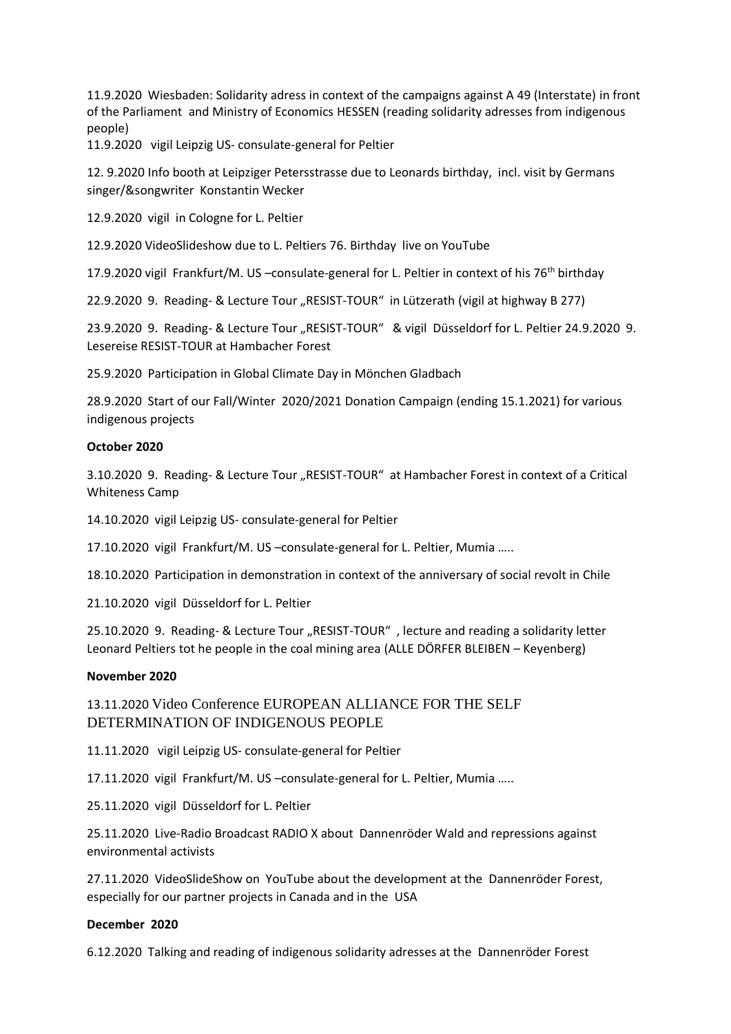11.9.2020 Wiesbaden: Solidarity adress in context of the campaigns against A 49 (Interstate) in front of the Parliament and Ministry of Economics HESSEN (reading solidarity adresses from indigenous people)

11.9.2020 vigil Leipzig US- consulate-general for Peltier

12. 9.2020 Info booth at Leipziger Petersstrasse due to Leonards birthday, incl. visit by Germans singer/&songwriter Konstantin Wecker

12.9.2020 vigil in Cologne for L. Peltier

12.9.2020 VideoSlideshow due to L. Peltiers 76. Birthday live on YouTube

17.9.2020 vigil Frankfurt/M. US -consulate-general for L. Peltier in context of his 76<sup>th</sup> birthday

22.9.2020 9. Reading- & Lecture Tour "RESIST-TOUR" in Lützerath (vigil at highway B 277)

23.9.2020 9. Reading- & Lecture Tour "RESIST-TOUR" & vigil Düsseldorf for L. Peltier 24.9.2020 9. Lesereise RESIST-TOUR at Hambacher Forest

25.9.2020 Participation in Global Climate Day in Mönchen Gladbach

28.9.2020 Start of our Fall/Winter 2020/2021 Donation Campaign (ending 15.1.2021) for various indigenous projects

#### **October 2020**

3.10.20209. Reading- & Lecture Tour "RESIST-TOUR" at Hambacher Forest in context of a Critical Whiteness Camp

14.10.2020 vigil Leipzig US- consulate-general for Peltier

17.10.2020 vigil Frankfurt/M. US –consulate-general for L. Peltier, Mumia …..

18.10.2020 Participation in demonstration in context of the anniversary of social revolt in Chile

21.10.2020 vigil Düsseldorf for L. Peltier

25.10.2020 9. Reading- & Lecture Tour "RESIST-TOUR", lecture and reading a solidarity letter Leonard Peltiers tot he people in the coal mining area (ALLE DÖRFER BLEIBEN – Keyenberg)

## **November 2020**

13.11.2020 Video Conference EUROPEAN ALLIANCE FOR THE SELF DETERMINATION OF INDIGENOUS PEOPLE

11.11.2020 vigil Leipzig US- consulate-general for Peltier

17.11.2020 vigil Frankfurt/M. US –consulate-general for L. Peltier, Mumia …..

25.11.2020 vigil Düsseldorf for L. Peltier

25.11.2020 Live-Radio Broadcast RADIO X about Dannenröder Wald and repressions against environmental activists

27.11.2020 VideoSlideShow on YouTube about the development at the Dannenröder Forest, especially for our partner projects in Canada and in the USA

## **December 2020**

6.12.2020 Talking and reading of indigenous solidarity adresses at the Dannenröder Forest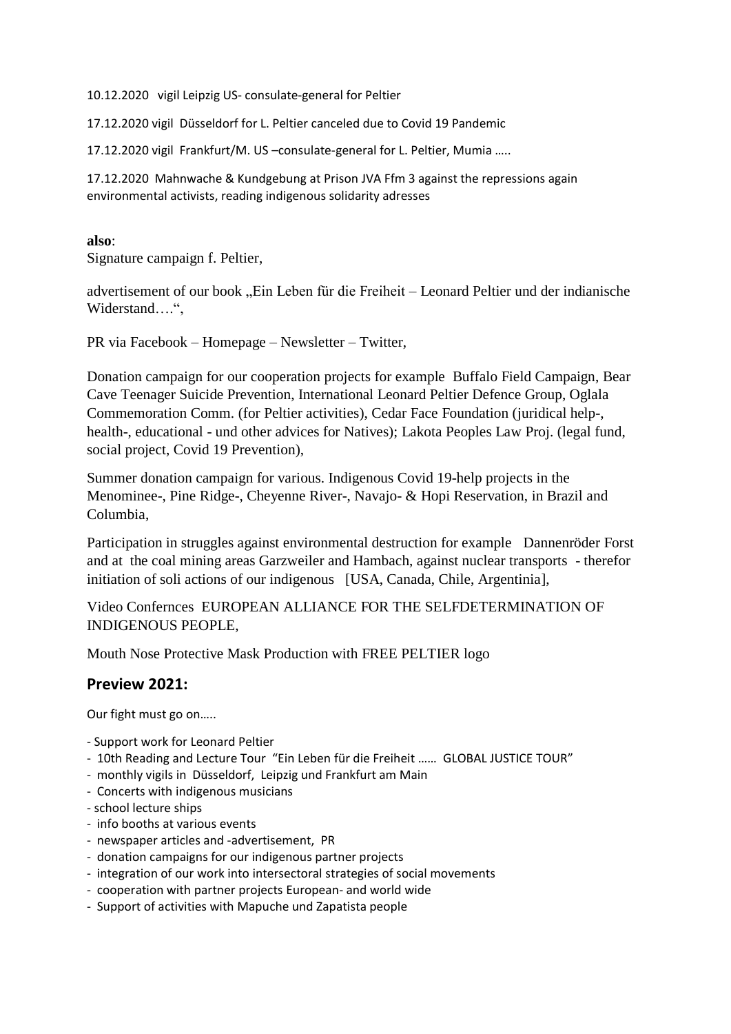10.12.2020 vigil Leipzig US- consulate-general for Peltier

17.12.2020 vigil Düsseldorf for L. Peltier canceled due to Covid 19 Pandemic

17.12.2020 vigil Frankfurt/M. US –consulate-general for L. Peltier, Mumia …..

17.12.2020 Mahnwache & Kundgebung at Prison JVA Ffm 3 against the repressions again environmental activists, reading indigenous solidarity adresses

## **also**:

Signature campaign f. Peltier,

advertisement of our book "Ein Leben für die Freiheit – Leonard Peltier und der indianische Widerstand….",

PR via Facebook – Homepage – Newsletter – Twitter,

Donation campaign for our cooperation projects for example Buffalo Field Campaign, Bear Cave Teenager Suicide Prevention, International Leonard Peltier Defence Group, Oglala Commemoration Comm. (for Peltier activities), Cedar Face Foundation (juridical help-, health-, educational - und other advices for Natives); Lakota Peoples Law Proj. (legal fund, social project, Covid 19 Prevention),

Summer donation campaign for various. Indigenous Covid 19-help projects in the Menominee-, Pine Ridge-, Cheyenne River-, Navajo- & Hopi Reservation, in Brazil and Columbia,

Participation in struggles against environmental destruction for example Dannenröder Forst and at the coal mining areas Garzweiler and Hambach, against nuclear transports - therefor initiation of soli actions of our indigenous [USA, Canada, Chile, Argentinia],

Video Confernces EUROPEAN ALLIANCE FOR THE SELFDETERMINATION OF INDIGENOUS PEOPLE,

Mouth Nose Protective Mask Production with FREE PELTIER logo

## **Preview 2021:**

Our fight must go on…..

- Support work for Leonard Peltier
- 10th Reading and Lecture Tour "Ein Leben für die Freiheit …… GLOBAL JUSTICE TOUR"
- monthly vigils in Düsseldorf, Leipzig und Frankfurt am Main
- Concerts with indigenous musicians
- school lecture ships
- info booths at various events
- newspaper articles and -advertisement, PR
- donation campaigns for our indigenous partner projects
- integration of our work into intersectoral strategies of social movements
- cooperation with partner projects European- and world wide
- Support of activities with Mapuche und Zapatista people